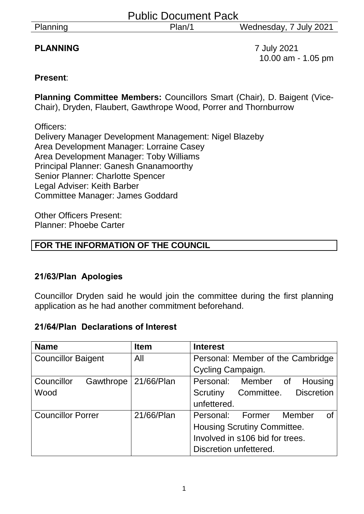|  | Planning |
|--|----------|
|  |          |

# **PLANNING** 7 July 2021

10.00 am - 1.05 pm

### **Present**:

**Planning Committee Members:** Councillors Smart (Chair), D. Baigent (Vice-Chair), Dryden, Flaubert, Gawthrope Wood, Porrer and Thornburrow

Officers: Delivery Manager Development Management: Nigel Blazeby Area Development Manager: Lorraine Casey Area Development Manager: Toby Williams Principal Planner: Ganesh Gnanamoorthy Senior Planner: Charlotte Spencer Legal Adviser: Keith Barber Committee Manager: James Goddard

Other Officers Present: Planner: Phoebe Carter

# **FOR THE INFORMATION OF THE COUNCIL**

### **21/63/Plan Apologies**

Councillor Dryden said he would join the committee during the first planning application as he had another commitment beforehand.

### **21/64/Plan Declarations of Interest**

| <b>Name</b>               | <b>Item</b> | <b>Interest</b>                    |  |
|---------------------------|-------------|------------------------------------|--|
| <b>Councillor Baigent</b> | All         | Personal: Member of the Cambridge  |  |
|                           |             | Cycling Campaign.                  |  |
| Councillor<br>Gawthrope   | 21/66/Plan  | Personal: Member of<br>Housing     |  |
| Wood                      |             | Committee. Discretion<br>Scrutiny  |  |
|                           |             | unfettered.                        |  |
| <b>Councillor Porrer</b>  | 21/66/Plan  | Personal: Former<br>Member<br>0f   |  |
|                           |             | <b>Housing Scrutiny Committee.</b> |  |
|                           |             | Involved in s106 bid for trees.    |  |
|                           |             | Discretion unfettered.             |  |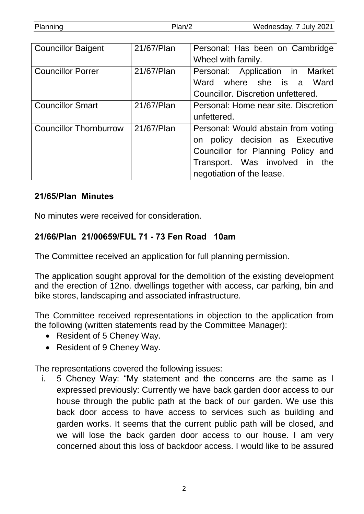|--|

| <b>Councillor Baigent</b>     | 21/67/Plan | Personal: Has been on Cambridge      |
|-------------------------------|------------|--------------------------------------|
|                               |            | Wheel with family.                   |
| <b>Councillor Porrer</b>      | 21/67/Plan | Personal: Application in Market      |
|                               |            | Ward where she is a Ward             |
|                               |            | Councillor. Discretion unfettered.   |
| <b>Councillor Smart</b>       | 21/67/Plan | Personal: Home near site. Discretion |
|                               |            | unfettered.                          |
| <b>Councillor Thornburrow</b> | 21/67/Plan | Personal: Would abstain from voting  |
|                               |            | policy decision as Executive<br>on   |
|                               |            | Councillor for Planning Policy and   |
|                               |            | Transport. Was involved in the       |
|                               |            | negotiation of the lease.            |

#### **21/65/Plan Minutes**

No minutes were received for consideration.

### **21/66/Plan 21/00659/FUL 71 - 73 Fen Road 10am**

The Committee received an application for full planning permission.

The application sought approval for the demolition of the existing development and the erection of 12no. dwellings together with access, car parking, bin and bike stores, landscaping and associated infrastructure.

The Committee received representations in objection to the application from the following (written statements read by the Committee Manager):

- Resident of 5 Cheney Way.
- Resident of 9 Cheney Way.

The representations covered the following issues:

i. 5 Cheney Way: "My statement and the concerns are the same as I expressed previously: Currently we have back garden door access to our house through the public path at the back of our garden. We use this back door access to have access to services such as building and garden works. It seems that the current public path will be closed, and we will lose the back garden door access to our house. I am very concerned about this loss of backdoor access. I would like to be assured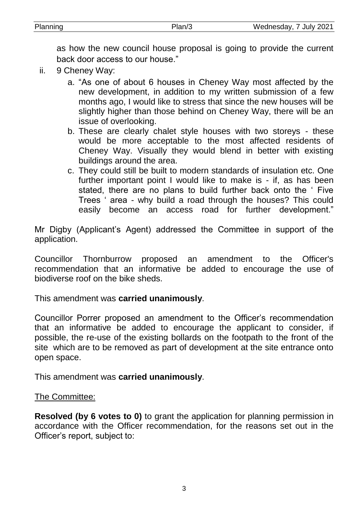as how the new council house proposal is going to provide the current back door access to our house."

- ii. 9 Cheney Way:
	- a. "As one of about 6 houses in Cheney Way most affected by the new development, in addition to my written submission of a few months ago, I would like to stress that since the new houses will be slightly higher than those behind on Cheney Way, there will be an issue of overlooking.
	- b. These are clearly chalet style houses with two storeys these would be more acceptable to the most affected residents of Cheney Way. Visually they would blend in better with existing buildings around the area.
	- c. They could still be built to modern standards of insulation etc. One further important point I would like to make is - if, as has been stated, there are no plans to build further back onto the ' Five Trees ' area - why build a road through the houses? This could easily become an access road for further development."

Mr Digby (Applicant's Agent) addressed the Committee in support of the application.

Councillor Thornburrow proposed an amendment to the Officer's recommendation that an informative be added to encourage the use of biodiverse roof on the bike sheds.

This amendment was **carried unanimously**.

Councillor Porrer proposed an amendment to the Officer's recommendation that an informative be added to encourage the applicant to consider, if possible, the re-use of the existing bollards on the footpath to the front of the site which are to be removed as part of development at the site entrance onto open space.

This amendment was **carried unanimously**.

### The Committee:

**Resolved (by 6 votes to 0)** to grant the application for planning permission in accordance with the Officer recommendation, for the reasons set out in the Officer's report, subject to: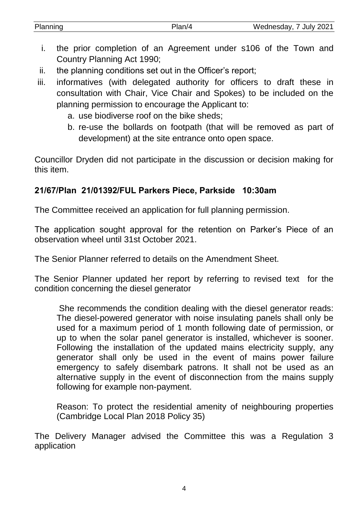| Planning | າເລ | Wednesday, 7 July 2021 |
|----------|-----|------------------------|
|          |     |                        |

- i. the prior completion of an Agreement under s106 of the Town and Country Planning Act 1990;
- ii. the planning conditions set out in the Officer's report;
- iii. informatives (with delegated authority for officers to draft these in consultation with Chair, Vice Chair and Spokes) to be included on the planning permission to encourage the Applicant to:
	- a. use biodiverse roof on the bike sheds;
	- b. re-use the bollards on footpath (that will be removed as part of development) at the site entrance onto open space.

Councillor Dryden did not participate in the discussion or decision making for this item.

### **21/67/Plan 21/01392/FUL Parkers Piece, Parkside 10:30am**

The Committee received an application for full planning permission.

The application sought approval for the retention on Parker's Piece of an observation wheel until 31st October 2021.

The Senior Planner referred to details on the Amendment Sheet.

The Senior Planner updated her report by referring to revised text for the condition concerning the diesel generator

She recommends the condition dealing with the diesel generator reads: The diesel-powered generator with noise insulating panels shall only be used for a maximum period of 1 month following date of permission, or up to when the solar panel generator is installed, whichever is sooner. Following the installation of the updated mains electricity supply, any generator shall only be used in the event of mains power failure emergency to safely disembark patrons. It shall not be used as an alternative supply in the event of disconnection from the mains supply following for example non-payment.

Reason: To protect the residential amenity of neighbouring properties (Cambridge Local Plan 2018 Policy 35)

The Delivery Manager advised the Committee this was a Regulation 3 application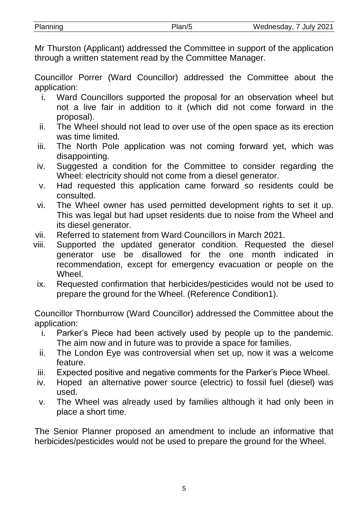Mr Thurston (Applicant) addressed the Committee in support of the application through a written statement read by the Committee Manager.

Councillor Porrer (Ward Councillor) addressed the Committee about the application:

- i. Ward Councillors supported the proposal for an observation wheel but not a live fair in addition to it (which did not come forward in the proposal).
- ii. The Wheel should not lead to over use of the open space as its erection was time limited.
- iii. The North Pole application was not coming forward yet, which was disappointing.
- iv. Suggested a condition for the Committee to consider regarding the Wheel: electricity should not come from a diesel generator.
- v. Had requested this application came forward so residents could be consulted.
- vi. The Wheel owner has used permitted development rights to set it up. This was legal but had upset residents due to noise from the Wheel and its diesel generator.
- vii. Referred to statement from Ward Councillors in March 2021.
- viii. Supported the updated generator condition. Requested the diesel generator use be disallowed for the one month indicated in recommendation, except for emergency evacuation or people on the Wheel.
	- ix. Requested confirmation that herbicides/pesticides would not be used to prepare the ground for the Wheel. (Reference Condition1).

Councillor Thornburrow (Ward Councillor) addressed the Committee about the application:

- i. Parker's Piece had been actively used by people up to the pandemic. The aim now and in future was to provide a space for families.
- ii. The London Eye was controversial when set up, now it was a welcome feature.
- iii. Expected positive and negative comments for the Parker's Piece Wheel.
- iv. Hoped an alternative power source (electric) to fossil fuel (diesel) was used.
- v. The Wheel was already used by families although it had only been in place a short time.

The Senior Planner proposed an amendment to include an informative that herbicides/pesticides would not be used to prepare the ground for the Wheel.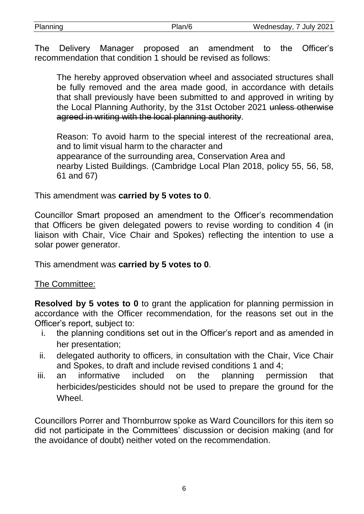| Planning | Plan/6 | Wednesday, 7 July 2021 |
|----------|--------|------------------------|
|          |        |                        |

The Delivery Manager proposed an amendment to the Officer's recommendation that condition 1 should be revised as follows:

The hereby approved observation wheel and associated structures shall be fully removed and the area made good, in accordance with details that shall previously have been submitted to and approved in writing by the Local Planning Authority, by the 31st October 2021 unless otherwise agreed in writing with the local planning authority.

Reason: To avoid harm to the special interest of the recreational area, and to limit visual harm to the character and appearance of the surrounding area, Conservation Area and nearby Listed Buildings. (Cambridge Local Plan 2018, policy 55, 56, 58, 61 and 67)

This amendment was **carried by 5 votes to 0**.

Councillor Smart proposed an amendment to the Officer's recommendation that Officers be given delegated powers to revise wording to condition 4 (in liaison with Chair, Vice Chair and Spokes) reflecting the intention to use a solar power generator.

This amendment was **carried by 5 votes to 0**.

### The Committee:

**Resolved by 5 votes to 0** to grant the application for planning permission in accordance with the Officer recommendation, for the reasons set out in the Officer's report, subject to:

- i. the planning conditions set out in the Officer's report and as amended in her presentation;
- ii. delegated authority to officers, in consultation with the Chair, Vice Chair and Spokes, to draft and include revised conditions 1 and 4;
- iii. an informative included on the planning permission that herbicides/pesticides should not be used to prepare the ground for the Wheel.

Councillors Porrer and Thornburrow spoke as Ward Councillors for this item so did not participate in the Committees' discussion or decision making (and for the avoidance of doubt) neither voted on the recommendation.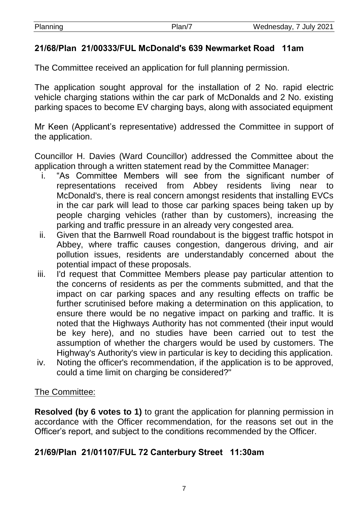| Planning | . | 7 July 2021<br>Wednesdav. |
|----------|---|---------------------------|
|          |   |                           |

### **21/68/Plan 21/00333/FUL McDonald's 639 Newmarket Road 11am**

The Committee received an application for full planning permission.

The application sought approval for the installation of 2 No. rapid electric vehicle charging stations within the car park of McDonalds and 2 No. existing parking spaces to become EV charging bays, along with associated equipment

Mr Keen (Applicant's representative) addressed the Committee in support of the application.

Councillor H. Davies (Ward Councillor) addressed the Committee about the application through a written statement read by the Committee Manager:

- i. "As Committee Members will see from the significant number of representations received from Abbey residents living near to McDonald's, there is real concern amongst residents that installing EVCs in the car park will lead to those car parking spaces being taken up by people charging vehicles (rather than by customers), increasing the parking and traffic pressure in an already very congested area.
- ii. Given that the Barnwell Road roundabout is the biggest traffic hotspot in Abbey, where traffic causes congestion, dangerous driving, and air pollution issues, residents are understandably concerned about the potential impact of these proposals.
- iii. I'd request that Committee Members please pay particular attention to the concerns of residents as per the comments submitted, and that the impact on car parking spaces and any resulting effects on traffic be further scrutinised before making a determination on this application, to ensure there would be no negative impact on parking and traffic. It is noted that the Highways Authority has not commented (their input would be key here), and no studies have been carried out to test the assumption of whether the chargers would be used by customers. The Highway's Authority's view in particular is key to deciding this application.
- iv. Noting the officer's recommendation, if the application is to be approved, could a time limit on charging be considered?"

### The Committee:

**Resolved (by 6 votes to 1)** to grant the application for planning permission in accordance with the Officer recommendation, for the reasons set out in the Officer's report, and subject to the conditions recommended by the Officer.

### **21/69/Plan 21/01107/FUL 72 Canterbury Street 11:30am**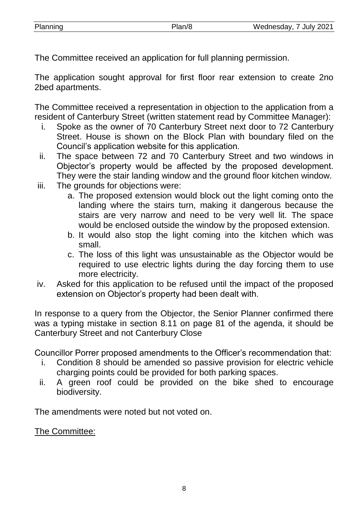The Committee received an application for full planning permission.

The application sought approval for first floor rear extension to create 2no 2bed apartments.

The Committee received a representation in objection to the application from a resident of Canterbury Street (written statement read by Committee Manager):

- i. Spoke as the owner of 70 Canterbury Street next door to 72 Canterbury Street. House is shown on the Block Plan with boundary filed on the Council's application website for this application.
- ii. The space between 72 and 70 Canterbury Street and two windows in Objector's property would be affected by the proposed development. They were the stair landing window and the ground floor kitchen window.
- iii. The grounds for objections were:
	- a. The proposed extension would block out the light coming onto the landing where the stairs turn, making it dangerous because the stairs are very narrow and need to be very well lit. The space would be enclosed outside the window by the proposed extension.
	- b. It would also stop the light coming into the kitchen which was small.
	- c. The loss of this light was unsustainable as the Objector would be required to use electric lights during the day forcing them to use more electricity.
- iv. Asked for this application to be refused until the impact of the proposed extension on Objector's property had been dealt with.

In response to a query from the Objector, the Senior Planner confirmed there was a typing mistake in section 8.11 on page 81 of the agenda, it should be Canterbury Street and not Canterbury Close

Councillor Porrer proposed amendments to the Officer's recommendation that:

- i. Condition 8 should be amended so passive provision for electric vehicle charging points could be provided for both parking spaces.
- ii. A green roof could be provided on the bike shed to encourage biodiversity.

The amendments were noted but not voted on.

The Committee: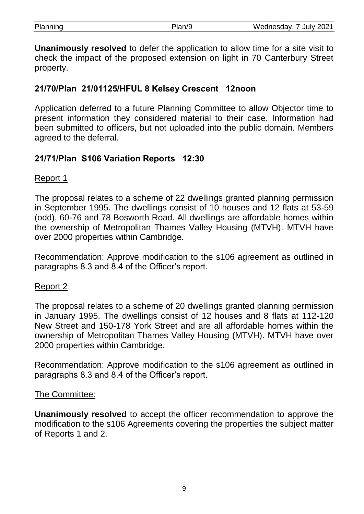| Planning | Plan/9 | Wednesday, 7 July 2021 |
|----------|--------|------------------------|
|          |        |                        |

**Unanimously resolved** to defer the application to allow time for a site visit to check the impact of the proposed extension on light in 70 Canterbury Street property.

## **21/70/Plan 21/01125/HFUL 8 Kelsey Crescent 12noon**

Application deferred to a future Planning Committee to allow Objector time to present information they considered material to their case. Information had been submitted to officers, but not uploaded into the public domain. Members agreed to the deferral.

### **21/71/Plan S106 Variation Reports 12:30**

#### Report 1

The proposal relates to a scheme of 22 dwellings granted planning permission in September 1995. The dwellings consist of 10 houses and 12 flats at 53-59 (odd), 60-76 and 78 Bosworth Road. All dwellings are affordable homes within the ownership of Metropolitan Thames Valley Housing (MTVH). MTVH have over 2000 properties within Cambridge.

Recommendation: Approve modification to the s106 agreement as outlined in paragraphs 8.3 and 8.4 of the Officer's report.

### Report 2

The proposal relates to a scheme of 20 dwellings granted planning permission in January 1995. The dwellings consist of 12 houses and 8 flats at 112-120 New Street and 150-178 York Street and are all affordable homes within the ownership of Metropolitan Thames Valley Housing (MTVH). MTVH have over 2000 properties within Cambridge.

Recommendation: Approve modification to the s106 agreement as outlined in paragraphs 8.3 and 8.4 of the Officer's report.

#### The Committee:

**Unanimously resolved** to accept the officer recommendation to approve the modification to the s106 Agreements covering the properties the subject matter of Reports 1 and 2.